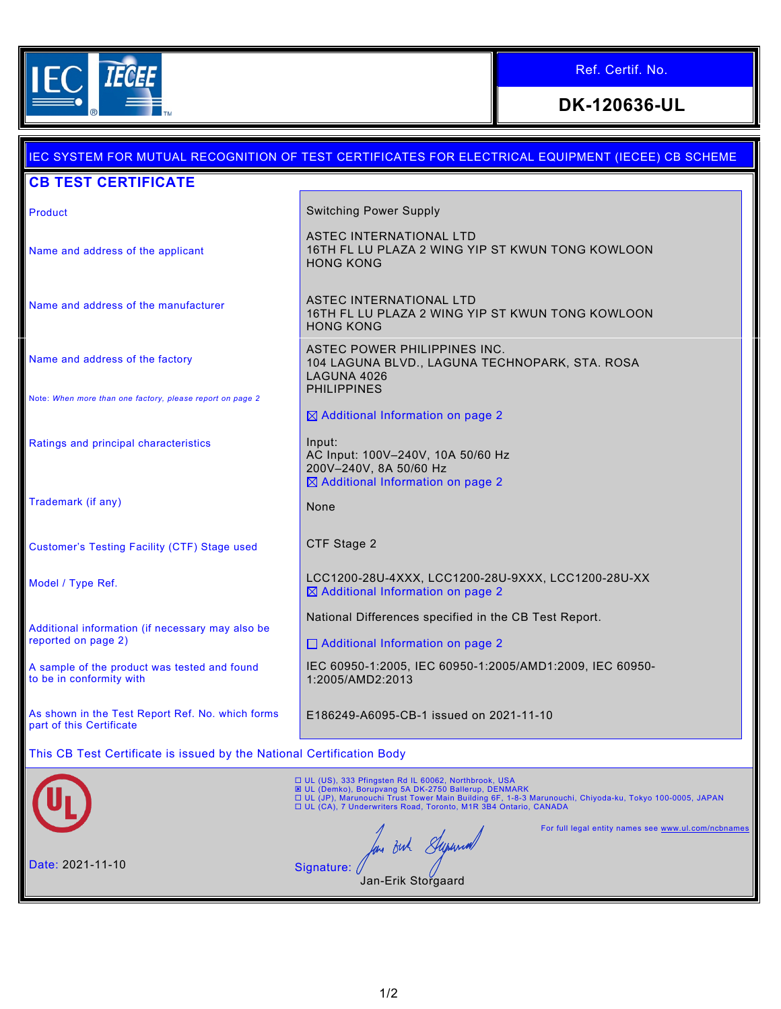

Ref. Certif. No.

**DK-120636-UL**

## IEC SYSTEM FOR MUTUAL RECOGNITION OF TEST CERTIFICATES FOR ELECTRICAL EQUIPMENT (IECEE) CB SCHEME **CB TEST CERTIFICATE** Product **Product Switching Power Supply** ASTEC INTERNATIONAL LTD 16TH FL LU PLAZA 2 WING YIP ST KWUN TONG KOWLOON Name and address of the applicant HONG KONG Name and address of the manufacturer **ASTEC INTERNATIONAL LTD** 16TH FL LU PLAZA 2 WING YIP ST KWUN TONG KOWLOON HONG KONG ASTEC POWER PHILIPPINES INC. Name and address of the factory 104 LAGUNA BLVD., LAGUNA TECHNOPARK, STA. ROSA LAGUNA 4026 PHILIPPINES Note: *When more than one factory, please report on page 2*  $\boxtimes$  Additional Information on page 2 Ratings and principal characteristics **Input:** AC Input: 100V–240V, 10A 50/60 Hz 200V–240V, 8A 50/60 Hz  $\boxtimes$  Additional Information on page 2 Trademark (if any) None Customer's Testing Facility (CTF) Stage used CTF Stage 2 Model / Type Ref. 28U-200-28U-4XXX, LCC1200-28U-9XXX, LCC1200-28U-XX  $\boxtimes$  Additional Information on page 2 National Differences specified in the CB Test Report. Additional information (if necessary may also be reported on page 2) □ Additional Information on page 2 A sample of the product was tested and found IEC 60950-1:2005, IEC 60950-1:2005/AMD1:2009, IEC 60950 to be in conformity with 1:2005/AMD2:2013 As shown in the Test Report Ref. No. which forms E186249-A6095-CB-1 issued on 2021-11-10 part of this Certificate This CB Test Certificate is issued by the National Certification Body □ UL (US), 333 Pfingsten Rd IL 60062, Northbrook, USA ⊠ UL (Demko), Borupvang 5A DK-2750 Ballerup, DENMARK<br>□ UL (JP), Marunouchi Trust Tower Main Building 6F, 1-8-3 Marunouchi, Chiyoda-ku, Tokyo 100-0005, JAPAN<br>□ UL (CA), 7 Underwriters Road, Toronto, M1R 3B4 Ontario, CANA For full legal entity names see [www.ul.com/ncbnames](http://www.ul.com/ncbnames) m out Superma Date: 2021-11-10 Signature: / Jan-Erik Storgaard